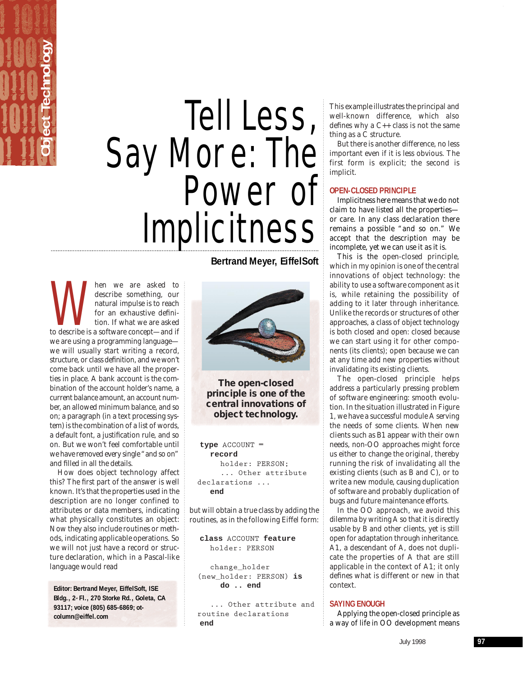# **Object Technology Object Technology**

## Tell Less, Say More: The<br>Power of Implicitness

about the metal we are asked to describe something, our natural impulse is to reach for an exhaustive definition. If what we are asked to describe is a software concept—and if describe something, our natural impulse is to reach for an exhaustive definition. If what we are asked we are using a programming language we will usually start writing a record, structure, or class definition, and we won't come back until we have all the properties in place. A bank account is the combination of the account holder's name, a current balance amount, an account number, an allowed minimum balance, and so on; a paragraph (in a text processing system) is the combination of a list of words, a default font, a justification rule, and so on. But we won't feel comfortable until we have removed every single "and so on" and filled in all the details.

How does object technology affect this? The first part of the answer is well known. It's that the properties used in the description are no longer confined to attributes or data members, indicating what physically constitutes an object: Now they also include routines or methods, indicating applicable operations. So we will not just have a record or structure declaration, which in a Pascal-like language would read

**Editor: Bertrand Meyer, EiffelSoft, ISE** Bldg., 2-Fl., 270 Storke Rd., Goleta, CA **93117; voice (805) 685-6869; otcolumn@eiffel.com**

**Bertrand Meyer, EiffelSoft**



**The open-closed principle is one of the central innovations of object technology.**

**type ACCOUNT = record holder: PERSON; ... Other attribute declarations ... end**

but will obtain a true class by adding the routines, as in the following Eiffel form:

**class ACCOUNT feature holder: PERSON**

**change\_holder (new\_holder: PERSON) is do .. end**

**... Other attribute and routine declarations end**

This example illustrates the principal and well-known difference, which also defines why a C++ class is not the same thing as a C structure.

But there is another difference, no less important even if it is less obvious. The first form is explicit; the second is implicit.

## **OPEN-CLOSED PRINCIPLE**

Implicitness here means that we do not claim to have listed all the properties or care. In any class declaration there remains a possible "and so on." We accept that the description may be incomplete, yet we can use it as it is.

This is the *open-closed principle*, which in my opinion is one of the central innovations of object technology: the ability to use a software component as it is, while retaining the possibility of adding to it later through inheritance. Unlike the records or structures of other approaches, a class of object technology is both closed *and* open: closed because we can start using it for other components (its clients); open because we can at any time add new properties without invalidating its existing clients.

The open-closed principle helps address a particularly pressing problem of software engineering: smooth evolution. In the situation illustrated in Figure 1, we have a successful module A serving the needs of some clients. When new clients such as B1 appear with their own needs, non-OO approaches might force us either to change the original, thereby running the risk of invalidating all the existing clients (such as B and C), or to write a new module, causing duplication of software and probably duplication of bugs and future maintenance efforts.

In the OO approach, we avoid this dilemma by writing A so that it is directly usable by B and other clients, yet is still open for adaptation through inheritance. A1, a descendant of A, does not duplicate the properties of A that are still applicable in the context of A1; it only defines what is different or new in that context.

### **SAYING ENOUGH**

Applying the open-closed principle as a way of life in OO development means